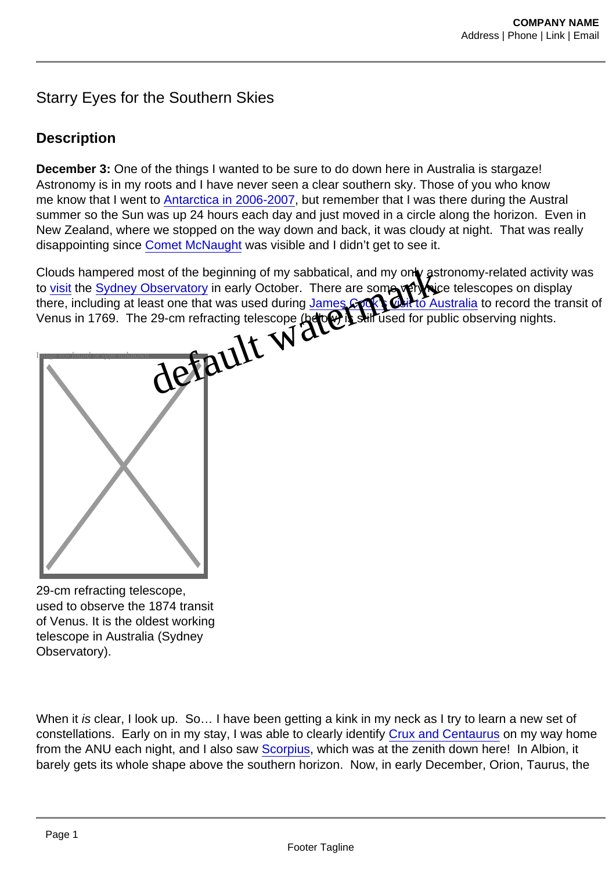## Starry Eyes for the Southern Skies

## **Description**

December 3: One of the things I wanted to be sure to do down here in Australia is stargaze! Astronomy is in my roots and I have never seen a clear southern sky. Those of you who know me know that I went to [Antarctica in 2006-2007](http://www.youtube.com/watch?v=xByYP7Lt6Hw&feature=related), but remember that I was there during the Austral summer so the Sun was up 24 hours each day and just moved in a circle along the horizon. Even in New Zealand, where we stopped on the way down and back, it was cloudy at night. That was really disappointing since [Comet McNaught](http://www.cometmcnaught.net/mcnaughtphotogallery4.htm) was visible and I didn't get to see it.

Clouds hampered most of the beginning of my sabbatical, and my only and momy-related activity was to [visit](http://campus.albion.edu/nzellner/files/2011/10/montage.sydney.observatory.jpg) the [Sydney Observatory](http://www.sydneyobservatory.com.au/) in early October. There are some very nice telescopes on display there, including at least one that was used during James Sobks visit to Australia to record the transit of Venus in 1769. The 29-cm refracting telescope (below) is till used for public observing nights. ost of the beginning of my sabbatical, and my only and no<br>bbservatory in early October. There are some properties<br>ast one that was used during James Schle Tisk to Austra<br>29-cm refracting telescope (be) with used for public



29-cm refracting telescope, used to observe the 1874 transit of Venus. It is the oldest working telescope in Australia (Sydney Observatory).

When it is clear, I look up. So... I have been getting a kink in my neck as I try to learn a new set of constellations. Early on in my stay, I was able to clearly identify [Crux and Centaurus](http://museumvictoria.com.au/discoverycentre/infosheets/planets/sky-tour-for-binoculars---crux--centaurus/) on my way home from the ANU each night, and I also saw [Scorpius,](http://www.windows2universe.org/mythology/scorpius.html) which was at the zenith down here! In Albion, it barely gets its whole shape above the southern horizon. Now, in early December, Orion, Taurus, the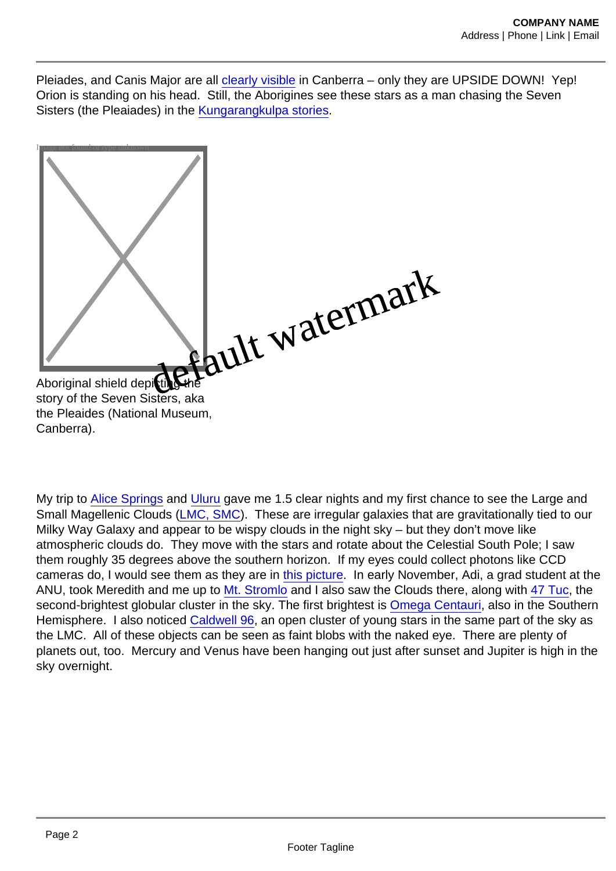Pleiades, and Canis Major are all [clearly visible](http://www.knoxvilleobservers.org/beginner/orioncrt.html) in Canberra – only they are UPSIDE DOWN! Yep! Orion is standing on his head. Still, the Aborigines see these stars as a man chasing the Seven Sisters (the Pleaiades) in the [Kungarangkulpa stories.](http://www.kitezh.com/sevensisters/7sisters.htm)



story of the Seven Sisters, aka the Pleaides (National Museum, Canberra).

My trip to [Alice Springs](http://campus.albion.edu/nzellner/2011/11/14/australias-red-centre-alice-springs/) and [Uluru](http://campus.albion.edu/nzellner/2011/11/19/australias-red-centre-uluru/) gave me 1.5 clear nights and my first chance to see the Large and Small Magellenic Clouds ([LMC, SMC](http://www.astrosurf.com/antilhue/lmc_&_smc.htm)). These are irregular galaxies that are gravitationally tied to our Milky Way Galaxy and appear to be wispy clouds in the night sky – but they don't move like atmospheric clouds do. They move with the stars and rotate about the Celestial South Pole; I saw them roughly 35 degrees above the southern horizon. If my eyes could collect photons like CCD cameras do, I would see them as they are in [this picture.](http://apod.nasa.gov/apod/ap060809.html) In early November, Adi, a grad student at the ANU, took Meredith and me up to [Mt. Stromlo](http://msowww.anu.edu.au/index.php) and I also saw the Clouds there, along with [47 Tuc,](http://apod.nasa.gov/apod/ap110116.html) the second-brightest globular cluster in the sky. The first brightest is [Omega Centauri](http://apod.nasa.gov/apod/ap100331.html), also in the Southern Hemisphere. I also noticed [Caldwell 96,](http://www.starrynightphotos.com/caldwell/caldwell_96.htm) an open cluster of young stars in the same part of the sky as the LMC. All of these objects can be seen as faint blobs with the naked eye. There are plenty of planets out, too. Mercury and Venus have been hanging out just after sunset and Jupiter is high in the sky overnight.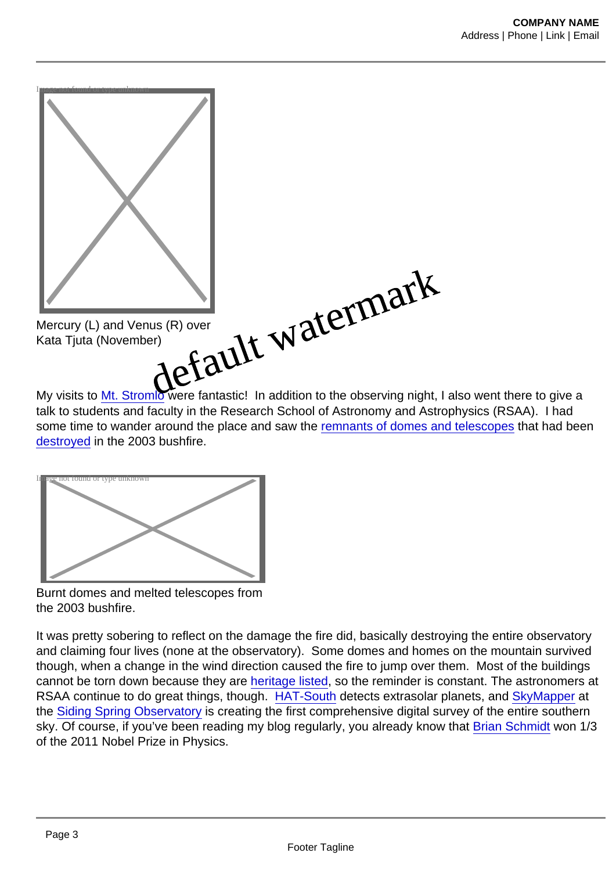

My visits to [Mt. Stromlo](http://msowww.anu.edu.au/about_us/msopage.php) were fantastic! In addition to the observing night, I also went there to give a talk to students and faculty in the Research School of Astronomy and Astrophysics (RSAA). I had some time to wander around the place and saw the [remnants of domes and telescopes](http://msowww.anu.edu.au/info/fire/orchiston/) that had been [destroyed](http://www.spacedaily.com/news/aust-03a.html) in the 2003 bushfire.



Burnt domes and melted telescopes from the 2003 bushfire.

It was pretty sobering to reflect on the damage the fire did, basically destroying the entire observatory and claiming four lives (none at the observatory). Some domes and homes on the mountain survived though, when a change in the wind direction caused the fire to jump over them. Most of the buildings cannot be torn down because they are [heritage listed](http://www.environment.gov.au/heritage/), so the reminder is constant. The astronomers at RSAA continue to do great things, though. [HAT-South](http://msowww.anu.edu.au/misc/hat/index.php) detects extrasolar planets, and [SkyMapper](http://msowww.anu.edu.au/skymapper/index.php) at the [Siding Spring Observatory](http://msowww.anu.edu.au/info/sso/) is creating the first comprehensive digital survey of the entire southern sky. Of course, if you've been reading my blog regularly, you already know that [Brian Schmidt](http://msowww.anu.edu.au/~brian/) won 1/3 of the 2011 Nobel Prize in Physics.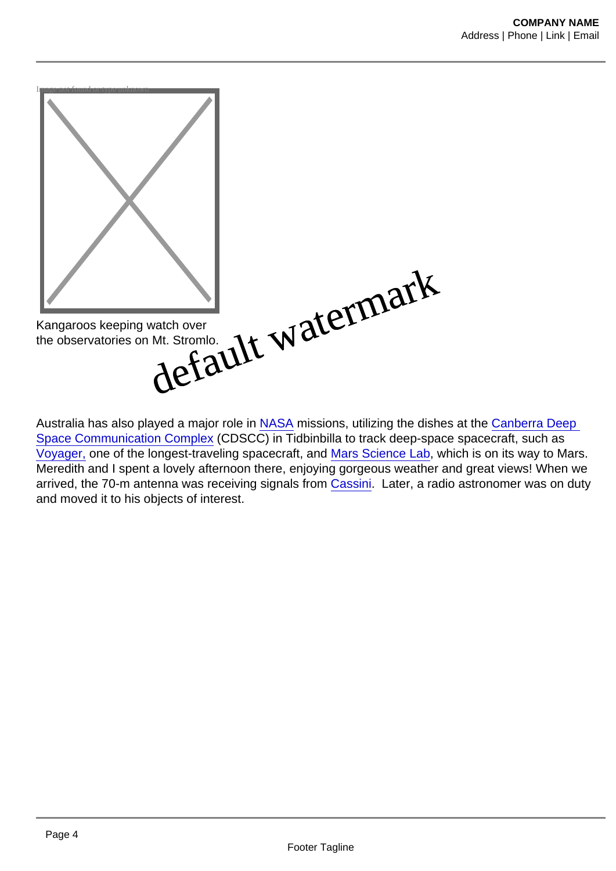

Australia has also played a major role in [NASA](http://www.nasa.gov) missions, utilizing the dishes at the [Canberra Deep](http://www.cdscc.nasa.gov/)  [Space Communication Complex](http://www.cdscc.nasa.gov/) (CDSCC) in Tidbinbilla to track deep-space spacecraft, such as [Voyager,](http://voyager.jpl.nasa.gov/) one of the longest-traveling spacecraft, and [Mars Science Lab,](http://mars.jpl.nasa.gov/msl/) which is on its way to Mars. Meredith and I spent a lovely afternoon there, enjoying gorgeous weather and great views! When we arrived, the 70-m antenna was receiving signals from [Cassini](http://www.nasa.gov/mission_pages/cassini/main/index.html). Later, a radio astronomer was on duty and moved it to his objects of interest.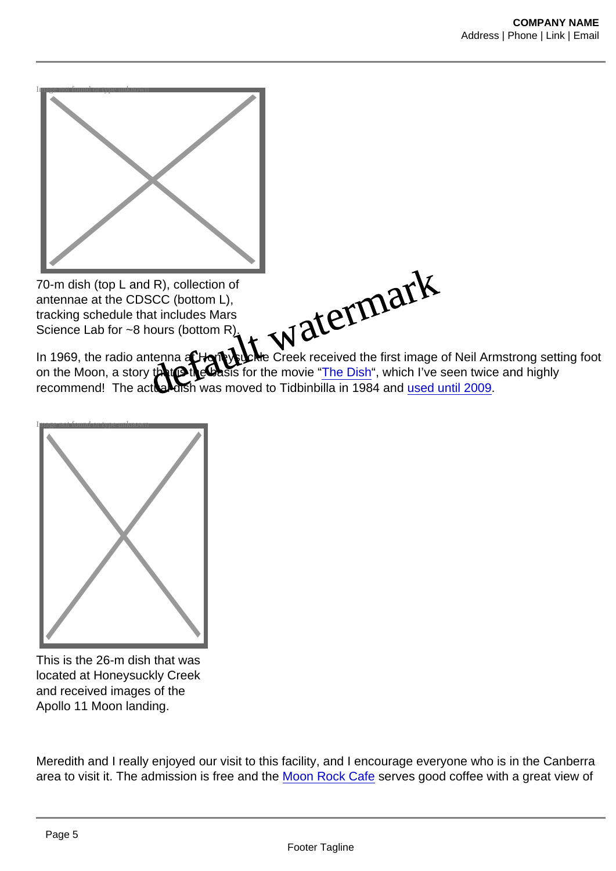

70-m dish (top L and R), collection of antennae at the CDSCC (bottom L), tracking schedule that includes Mars Science Lab for ~8 hours (bottom R).



In 1969, the radio antenna at Home will Creek received the first image of Neil Armstrong setting foot on the Moon, a story that  $\bigcirc$  is set for the movie "The Dish", which I've seen twice and highly on the Moon, a story that  $\circ$  the basis for the movie "The Dish", which I've seen twice and highly recommend! The actual dish was moved to Tidbinbilla in 1984 and [used until 2009](http://www.honeysucklecreek.net/hsktoday/dss46_tribute.html).



This is the 26-m dish that was located at Honeysuckly Creek and received images of the Apollo 11 Moon landing.

Meredith and I really enjoyed our visit to this facility, and I encourage everyone who is in the Canberra area to visit it. The admission is free and the [Moon Rock Cafe](http://www.miettas.com.au/Australia/Australian_Capital_Territory/Tidbinbilla/Moon_Rock_Cafe.html) serves good coffee with a great view of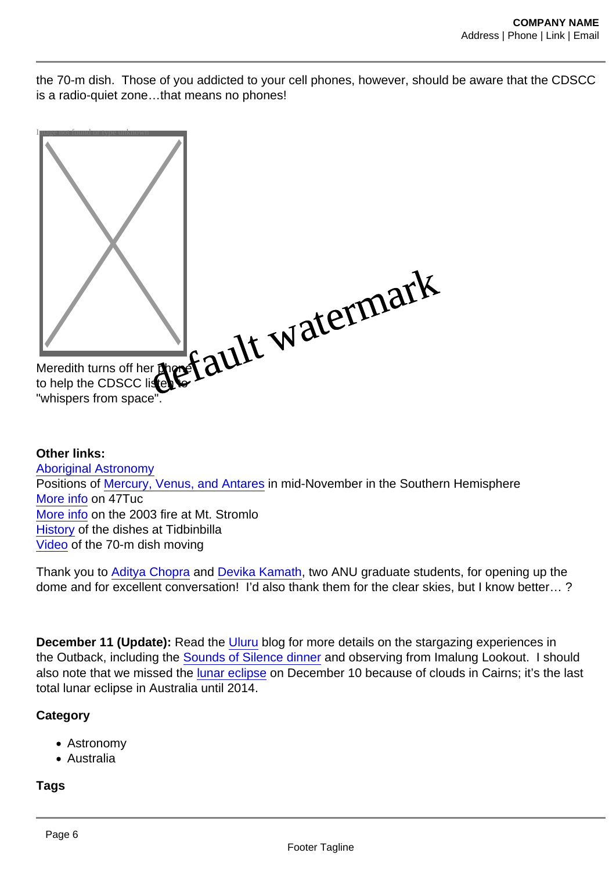the 70-m dish. Those of you addicted to your cell phones, however, should be aware that the CDSCC is a radio-quiet zone…that means no phones!



Other links: [Aboriginal Astronomy](http://www.atnf.csiro.au/research/AboriginalAstronomy/index.html) Positions of [Mercury, Venus, and Antares](http://nightskyonline.info/wp-content/uploads/2011/11/14_November_2011_Mercury_Venus_Antares_finder_chart_Brisbane.jpg) in mid-November in the Southern Hemisphere [More info](http://www.eso.org/public/news/eso0620/) on 47Tuc [More info](http://msowww.anu.edu.au/fire/) on the 2003 fire at Mt. Stromlo [History](http://www.cdscc.nasa.gov/Pages/antennas.html) of the dishes at Tidbinbilla [Video](http://www.youtube.com/watch?v=u0YyT2baVkc) of the 70-m dish moving

Thank you to [Aditya Chopra](http://www.adityac.com/) and [Devika Kamath,](http://www.mso.anu.edu.au/~devika13/Home.html) two ANU graduate students, for opening up the dome and for excellent conversation! I'd also thank them for the clear skies, but I know better… ?

December 11 (Update): Read the [Uluru](http://campus.albion.edu/nzellner/2011/11/19/australias-red-centre-uluru/) blog for more details on the stargazing experiences in the Outback, including the [Sounds of Silence dinner](http://www.ayersrockresort.com.au/sounds-of-silence/) and observing from Imalung Lookout. I should also note that we missed the [lunar eclipse](http://www.abc.net.au/news/2011-12-11/sky-gazers-treated-to-total-lunar-eclipse/3724412) on December 10 because of clouds in Cairns; it's the last total lunar eclipse in Australia until 2014.

**Category** 

- Astronomy
- Australia

Tags